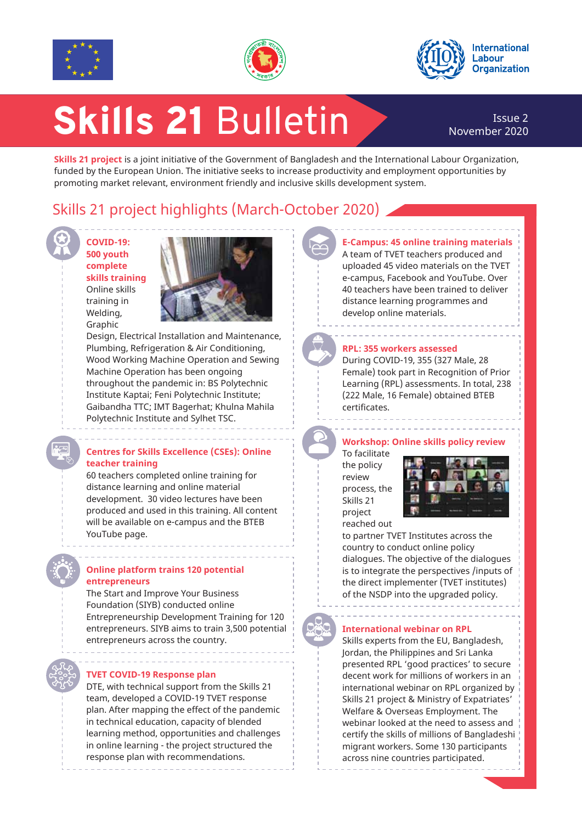





# Skills 21 Bulletin

## November 2020

**Skills 21 project** is a joint initiative of the Government of Bangladesh and the International Labour Organization, funded by the European Union. The initiative seeks to increase productivity and employment opportunities by promoting market relevant, environment friendly and inclusive skills development system.

## Skills 21 project highlights (March-October 2020)

**COVID-19: 500 youth complete skills training** Online skills training in Welding, Graphic



Design, Electrical Installation and Maintenance, Plumbing, Refrigeration & Air Conditioning, Wood Working Machine Operation and Sewing Machine Operation has been ongoing throughout the pandemic in: BS Polytechnic Institute Kaptai; Feni Polytechnic Institute; Gaibandha TTC; IMT Bagerhat; Khulna Mahila Polytechnic Institute and Sylhet TSC.

#### **Centres for Skills Excellence (CSEs): Online teacher training**

60 teachers completed online training for distance learning and online material development. 30 video lectures have been produced and used in this training. All content will be available on e-campus and the BTEB YouTube page.

#### **Online platform trains 120 potential entrepreneurs**

The Start and Improve Your Business Foundation (SIYB) conducted online Entrepreneurship Development Training for 120 entrepreneurs. SIYB aims to train 3,500 potential entrepreneurs across the country.

#### **TVET COVID-19 Response plan**

DTE, with technical support from the Skills 21 team, developed a COVID-19 TVET response plan. After mapping the effect of the pandemic in technical education, capacity of blended learning method, opportunities and challenges in online learning - the project structured the response plan with recommendations.

#### **E-Campus: 45 online training materials**  A team of TVET teachers produced and uploaded 45 video materials on the TVET

e-campus, Facebook and YouTube. Over 40 teachers have been trained to deliver distance learning programmes and develop online materials.



#### **RPL: 355 workers assessed**

During COVID-19, 355 (327 Male, 28 Female) took part in Recognition of Prior Learning (RPL) assessments. In total, 238 (222 Male, 16 Female) obtained BTEB certificates.

#### **Workshop: Online skills policy review** To facilitate the policy review process, the

Skills 21 project



reached out to partner TVET Institutes across the country to conduct online policy dialogues. The objective of the dialogues is to integrate the perspectives /inputs of the direct implementer (TVET institutes) of the NSDP into the upgraded policy.

#### **International webinar on RPL**

Skills experts from the EU, Bangladesh, Jordan, the Philippines and Sri Lanka presented RPL 'good practices' to secure decent work for millions of workers in an international webinar on RPL organized by Skills 21 project & Ministry of Expatriates' Welfare & Overseas Employment. The webinar looked at the need to assess and certify the skills of millions of Bangladeshi migrant workers. Some 130 participants across nine countries participated.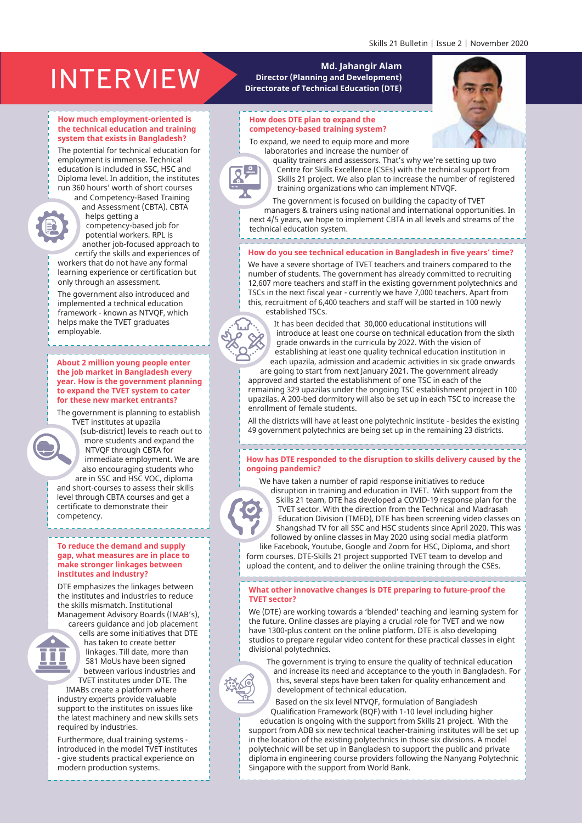## Md. Jahangir Alam<br>Director (Planning and Development)<br>Campion of Technical Enterprise (Campion of Technical Enterprise (Campion of Technical Enterprise Campion)

#### **How much employment-oriented is the technical education and training system that exists in Bangladesh?**

The potential for technical education for employment is immense. Technical education is included in SSC, HSC and Diploma level. In addition, the institutes run 360 hours' worth of short courses and Competency-Based Training

and Assessment (CBTA). CBTA helps getting a competency-based job for potential workers. RPL is

another job-focused approach to certify the skills and experiences of workers that do not have any formal

learning experience or certification but only through an assessment. The government also introduced and

implemented a technical education framework - known as NTVQF, which helps make the TVET graduates employable.

**About 2 million young people enter the job market in Bangladesh every year. How is the government planning to expand the TVET system to cater for these new market entrants?** 

The government is planning to establish TVET institutes at upazila

(sub-district) levels to reach out to more students and expand the NTVQF through CBTA for immediate employment. We are also encouraging students who

are in SSC and HSC VOC, diploma and short-courses to assess their skills level through CBTA courses and get a certificate to demonstrate their competency.

#### **To reduce the demand and supply gap, what measures are in place to make stronger linkages between institutes and industry?**

DTE emphasizes the linkages between the institutes and industries to reduce the skills mismatch. Institutional Management Advisory Boards (IMAB's), careers guidance and job placement

cells are some initiatives that DTE has taken to create better linkages. Till date, more than 581 MoUs have been signed between various industries and TVET institutes under DTE. The

IMABs create a platform where industry experts provide valuable support to the institutes on issues like the latest machinery and new skills sets required by industries.

Furthermore, dual training systems introduced in the model TVET institutes - give students practical experience on modern production systems.

### **Director (Planning and Development) Directorate of Technical Education (DTE)**

#### **How does DTE plan to expand the competency-based training system?**



To expand, we need to equip more and more laboratories and increase the number of



quality trainers and assessors. That's why we're setting up two Centre for Skills Excellence (CSEs) with the technical support from Skills 21 project. We also plan to increase the number of registered training organizations who can implement NTVQF.

The government is focused on building the capacity of TVET managers & trainers using national and international opportunities. In next 4/5 years, we hope to implement CBTA in all levels and streams of the technical education system.

#### ,,,,,,,,,,,,,,,,,,,, **How do you see technical education in Bangladesh in five years' time?**

We have a severe shortage of TVET teachers and trainers compared to the number of students. The government has already committed to recruiting 12,607 more teachers and staff in the existing government polytechnics and TSCs in the next fiscal year - currently we have 7,000 teachers. Apart from this, recruitment of 6,400 teachers and staff will be started in 100 newly established TSCs.



It has been decided that 30,000 educational institutions will introduce at least one course on technical education from the sixth grade onwards in the curricula by 2022. With the vision of establishing at least one quality technical education institution in each upazila, admission and academic activities in six grade onwards

are going to start from next January 2021. The government already approved and started the establishment of one TSC in each of the remaining 329 upazilas under the ongoing TSC establishment project in 100 upazilas. A 200-bed dormitory will also be set up in each TSC to increase the enrollment of female students.

All the districts will have at least one polytechnic institute - besides the existing 49 government polytechnics are being set up in the remaining 23 districts.

#### -------------------------------

#### **How has DTE responded to the disruption to skills delivery caused by the ongoing pandemic?**

We have taken a number of rapid response initiatives to reduce

disruption in training and education in TVET. With support from the Skills 21 team, DTE has developed a COVID-19 response plan for the TVET sector. With the direction from the Technical and Madrasah Education Division (TMED), DTE has been screening video classes on Shangshad TV for all SSC and HSC students since April 2020. This was followed by online classes in May 2020 using social media platform

like Facebook, Youtube, Google and Zoom for HSC, Diploma, and short form courses. DTE-Skills 21 project supported TVET team to develop and upload the content, and to deliver the online training through the CSEs.

**What other innovative changes is DTE preparing to future-proof the TVET sector?**

We (DTE) are working towards a 'blended' teaching and learning system for the future. Online classes are playing a crucial role for TVET and we now have 1300-plus content on the online platform. DTE is also developing studios to prepare regular video content for these practical classes in eight divisional polytechnics.

The government is trying to ensure the quality of technical education and increase its need and acceptance to the youth in Bangladesh. For this, several steps have been taken for quality enhancement and development of technical education.

Based on the six level NTVQF, formulation of Bangladesh Qualification Framework (BQF) with 1-10 level including higher education is ongoing with the support from Skills 21 project. With the support from ADB six new technical teacher-training institutes will be set up in the location of the existing polytechnics in those six divisions. A model polytechnic will be set up in Bangladesh to support the public and private diploma in engineering course providers following the Nanyang Polytechnic Singapore with the support from World Bank.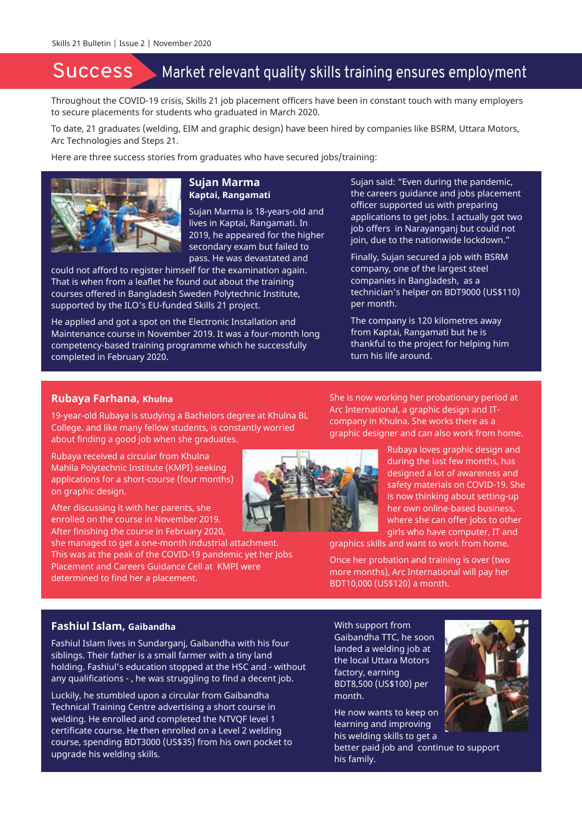## Success Market relevant quality skills training ensures employment

Throughout the COVID-19 crisis, Skills 21 job placement officers have been in constant touch with many employers to secure placements for students who graduated in March 2020.

To date, 21 graduates (welding, EIM and graphic design) have been hired by companies like BSRM, Uttara Motors, Arc Technologies and Steps 21.

Here are three success stories from graduates who have secured jobs/training:



#### **Sujan Marma Kaptai, Rangamati**

Sujan Marma is 18-years-old and lives in Kaptai, Rangamati. In 2019, he appeared for the higher secondary exam but failed to pass. He was devastated and

could not afford to register himself for the examination again. That is when from a leaflet he found out about the training courses offered in Bangladesh Sweden Polytechnic Institute, supported by the ILO's EU-funded Skills 21 project.

He applied and got a spot on the Electronic Installation and Maintenance course in November 2019. It was a four-month long competency-based training programme which he successfully completed in February 2020.

Sujan said: "Even during the pandemic, the careers guidance and jobs placement officer supported us with preparing applications to get jobs. I actually got two job offers in Narayanganj but could not join, due to the nationwide lockdown."

Finally, Sujan secured a job with BSRM company, one of the largest steel companies in Bangladesh, as a technician's helper on BDT9000 (US\$110) per month.

The company is 120 kilometres away from Kaptai, Rangamati but he is thankful to the project for helping him turn his life around.

#### **Rubaya Farhana, Khulna**

19-year-old Rubaya is studying a Bachelors degree at Khulna BL College. and like many fellow students, is constantly worried about finding a good job when she graduates.

Rubaya received a circular from Khulna Mahila Polytechnic Institute (KMPI) seeking applications for a short-course (four months) on graphic design.

After discussing it with her parents, she enrolled on the course in November 2019. After finishing the course in February 2020,

she managed to get a one-month industrial attachment. This was at the peak of the COVID-19 pandemic yet her Jobs Placement and Careers Guidance Cell at KMPI were determined to find her a placement.

She is now working her probationary period at Arc International, a graphic design and ITcompany in Khulna. She works there as a graphic designer and can also work from home.

> Rubaya loves graphic design and during the last few months, has designed a lot of awareness and safety materials on COVID-19. She is now thinking about setting-up her own online-based business, where she can offer jobs to other girls who have computer, IT and

graphics skills and want to work from home.

Once her probation and training is over (two more months), Arc International will pay her BDT10,000 (US\$120) a month.

#### **Fashiul Islam, Gaibandha**

Fashiul Islam lives in Sundarganj, Gaibandha with his four siblings. Their father is a small farmer with a tiny land holding. Fashiul's education stopped at the HSC and - without any qualifications - , he was struggling to find a decent job.

Luckily, he stumbled upon a circular from Gaibandha Technical Training Centre advertising a short course in welding. He enrolled and completed the NTVQF level 1 certificate course. He then enrolled on a Level 2 welding course, spending BDT3000 (US\$35) from his own pocket to upgrade his welding skills.

With support from Gaibandha TTC, he soon landed a welding job at the local Uttara Motors factory, earning BDT8,500 (US\$100) per month.

He now wants to keep on learning and improving his welding skills to get a

better paid job and continue to support his family.